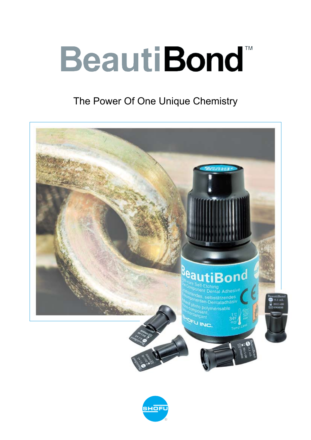# **BeautiBond™ TM**

# The Power Of One Unique Chemistry



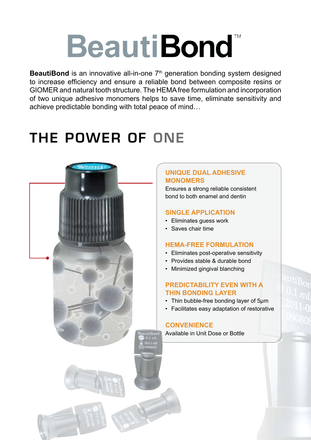# **BeautiBond**

**BeautiBond** is an innovative all-in-one 7<sup>th</sup> generation bonding system designed to increase efficiency and ensure a reliable bond between composite resins or Giomer and natural tooth structure. The HEMA free formulation and incorporation of two unique adhesive monomers helps to save time, eliminate sensitivity and achieve predictable bonding with total peace of mind…

# THE POWER OF ONE



### **Unique Dual Adhesive Monomers**

Ensures a strong reliable consistent bond to both enamel and dentin

### **Single Application**

- Eliminates guess work
- Saves chair time

#### **HEMA-free Formulation**

- Eliminates post-operative sensitivity
- Provides stable & durable bond
- Minimized gingival blanching

### **Predictability Even With A Thin Bonding Layer**

- Thin bubble-free bonding layer of 5µm
- Facilitates easy adaptation of restorative

#### **Convenience**

Available in Unit Dose or Bottle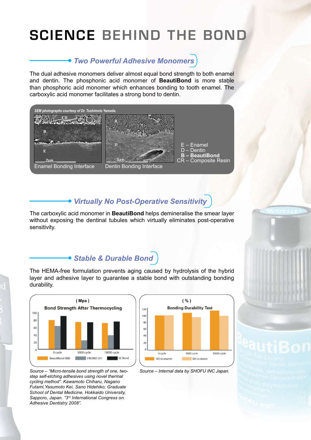# SCIENCE BEHIND THE BOND

### *Two Powerful Adhesive Monomers*

The dual adhesive monomers deliver almost equal bond strength to both enamel and dentin. The phosphonic acid monomer of **BeautiBond** is more stable than phosphoric acid monomer which enhances bonding to tooth enamel. The carboxylic acid monomer facilitates a strong bond to dentin.



### *Virtually No Post-Operative Sensitivity*

The carboxylic acid monomer in **BeautiBond** helps demineralise the smear layer without exposing the dentinal tubules which virtually eliminates post-operative sensitivity.

### *Stable & Durable Bond*

The HEMA-free formulation prevents aging caused by hydrolysis of the hybrid layer and adhesive layer to guarantee a stable bond with outstanding bonding durability.







*Source – "Micro-tensile bond strength of one, twostep self-etching adhesives using novel thermal cycling method". Kawamoto Chiharu, Nagano Futami,Yasumoto Kei, Sano Hidehiko; Graduate School of Dental Medicine, Hokkaido University, Sapporo, Japan. "3rd International Congress on Adhesive Dentistry 2008".*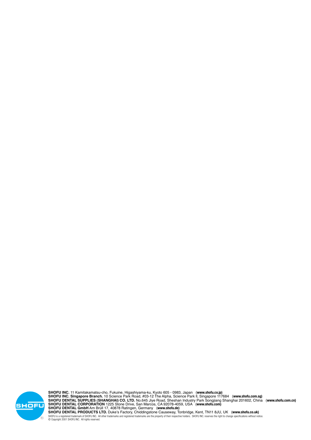### *Order Information*



**BeautiBond Set [PN 1781] BeautiBond 6ml bottle, Microtip Fine (with 1 handle) x 50 application tips, V-Dish x 25**



**BeautiBond Unit Dose [PN 1782] BeautiBond Unit Dose 0.1ml x 50, MicroBrush Fine x 50**





**BEAUTIFIL II 6 COLOR SET** 6 x Beautifil ll Syringe, 4.5g – A2, A3, A3.5, B2, A3O, Inc, Dura-White Stone, Super-Snap Singles, OneGloss Trial Set & Paper Pad



**BEAUTIFIL II COSMETIC SET** 3 x Beautifil ll Syringe, 4.5g – A2, A3, Inc, Beautifil Opaquer-LO, Beautifil Flow F02-A2, Dura-White Stone, Super-Snap Singles, OneGloss Trial Set & Paper Pad



**BEAUTIFIL II REFILLS (4.5g)** Shades: A1, A2, A3, A3.5, A4, B1, B2, B3, C2, C3, Inc, BW, A2O, A3O



**Beautifil Opaquer**  (2g with needles tips x 5) Shades: UO (Universal), LO (Light)



**Beautifil Flow – F02 F02** – Low Flow (2g with needles tips x 5) Shades: A1, A2, A3, A3.5, A4, A3O, G



**Beautifil Flow – F10 F02** – High Flow (2g with needles tips x 5) Shades: A1, A2, A3, A3.5, A4, A3O, A3T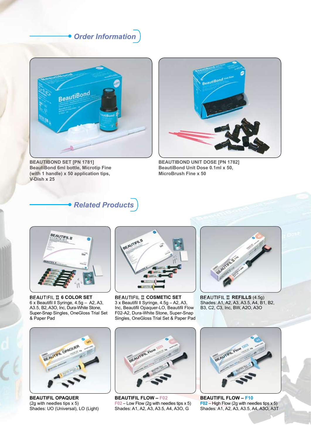# CONVENIENCE & PREDICTABILITY

## *Thin Bonding Layer*

The novel adhesive technology of **BeautiBond** creates a very thin bubble-free bonding layer of 5µm that helps to facilitate easy application of the first layer of the restorative material.



*SEM photograph courtesy of Dr. Naotake Akimoto.*

### *Simple Application*

Etch, prime and bond in **just 30 seconds** with a single application and be assured of a reliable, strong bond to both enamel and dentin.



*Apply* **BeautiBond** *(5 sec). Leave undisturbed for 10sec.*



*Air-dry for 5sec to evaporate water and volatile components. (Gently air-dry for 3sec then air-dry with high pressure for 2sec)*



*Light-Cure (Halogen: 10sec / LED: 5 sec).*

#### *Guaranteed Results*





*Prepared cavity. Application of BeautiBond. Air-dried and light-cured. Completed restoration with* 



 $\frac{\prod_{i=1}^{n} \prod_{i=1}^{n} \binom{n}{i}}{\sum_{i=1}^{n} \binom{n}{i}}$ 

*Photographs courtesy of Dr. Sushil Koirala.*



**BEAUTIFIL II.**